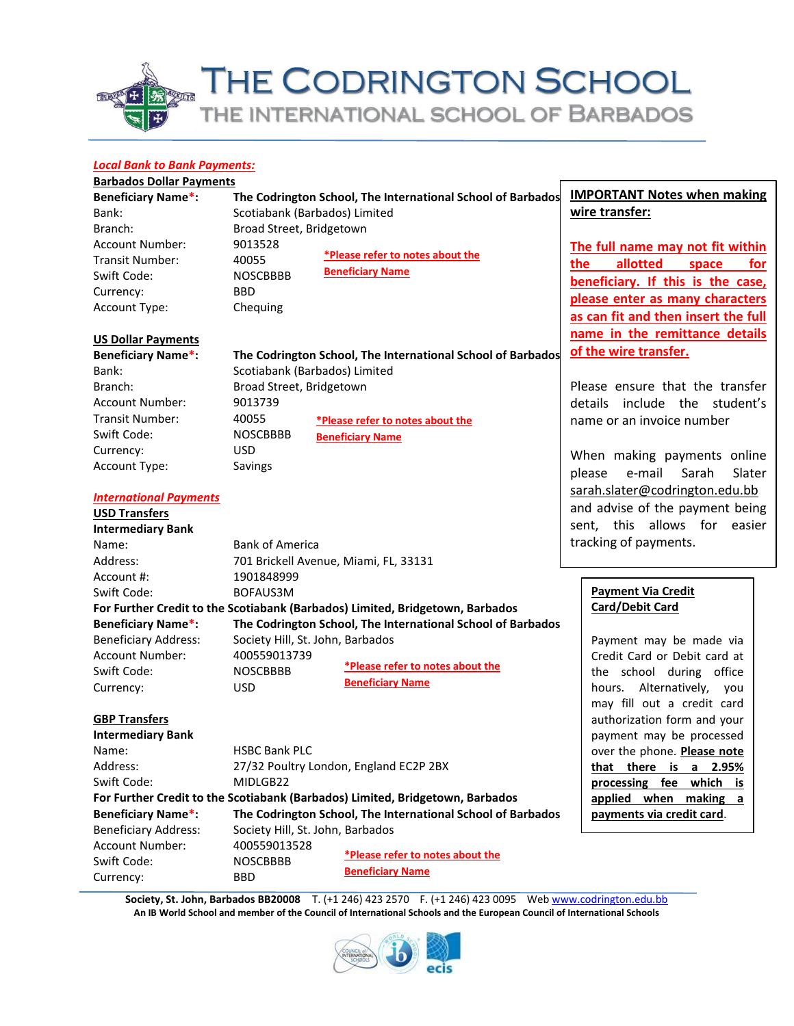# THE CODRINGTON SCHOOL THE INTERNATIONAL SCHOOL OF BARBADOS

#### *Local Bank to Bank Payments:*

|--|

| <b>Beneficiary Name*:</b> |                               | The Codrington School, The International School of Barbados | <b>IMPORTANT Notes when making</b>                      |
|---------------------------|-------------------------------|-------------------------------------------------------------|---------------------------------------------------------|
| Bank:                     | Scotiabank (Barbados) Limited |                                                             | wire transfer:                                          |
| Branch:                   | Broad Street, Bridgetown      |                                                             |                                                         |
| Account Number:           | 9013528                       |                                                             | The full name may not fit within                        |
| <b>Transit Number:</b>    | 40055                         | *Please refer to notes about the<br><b>Beneficiary Name</b> | allotted<br>the.<br>for<br>space                        |
| Swift Code:               | <b>NOSCBBBB</b>               |                                                             | beneficiary. If this is the case,                       |
| Currency:                 | BBD.                          |                                                             | please enter as many characters                         |
| Account Type:             | Chequing                      |                                                             | والرزائر وبماله للمحمودة ومحملة المعرورية فاكر ويحمرهما |

#### **US Dollar Payments**

| <b>Beneficiary Name*:</b> |  |  |  |  |
|---------------------------|--|--|--|--|
| Bank:                     |  |  |  |  |
| Branch:                   |  |  |  |  |
| Account Number:           |  |  |  |  |
| Transit Number:           |  |  |  |  |
| Swift Code:               |  |  |  |  |
| Currency:                 |  |  |  |  |
| <b>Account Type:</b>      |  |  |  |  |

*International Payments*

Name: Bank of America

Account #: 1901848999 Swift Code: BOFAUS3M

Account Number: 400559013739 Swift Code: NOSCBBBB Currency: USD

**USD Transfers Intermediary Bank** Savings

Address: 701 Brickell Avenue, Miami, FL, 33131

Beneficiary Address: Society Hill, St. John, Barbados

**The Codrington School, The International School of Barbados** Scotiabank (Barbados) Limited Broad Street, Bridgetown 9013739 40055 NOSCBBBB USD **\*Please refer to notes about the Beneficiary Name**

**as can fit and then insert the full name in the remittance details of the wire transfer.**

Please ensure that the transfer details include the student's name or an invoice number

When making payments online please e-mail Sarah Slater [sarah.slater@codrington.edu.bb](mailto:sarah.slater@codrington.edu.bb) and advise of the payment being sent, this allows for easier tracking of payments.

### **Payment Via Credit Card/Debit Card**

Payment may be made via Credit Card or Debit card at the school during office hours. Alternatively, you may fill out a credit card authorization form and your payment may be processed over the phone. **Please note that there is a 2.95% processing fee which is applied when making a payments via credit card**.

| <b>GBP Transfers</b>        |                                                                               |
|-----------------------------|-------------------------------------------------------------------------------|
| <b>Intermediary Bank</b>    |                                                                               |
| Name:                       | <b>HSBC Bank PLC</b>                                                          |
| Address:                    | 27/32 Poultry London, England EC2P 2BX                                        |
| Swift Code:                 | MIDLGB22                                                                      |
|                             | For Further Credit to the Scotiabank (Barbados) Limited, Bridgetown, Barbados |
| <b>Beneficiary Name*:</b>   | The Codrington School, The International School of Barbados                   |
| <b>Beneficiary Address:</b> | Society Hill, St. John, Barbados                                              |
| Account Number              | 400559013528                                                                  |

**For Further Credit to the Scotiabank (Barbados) Limited, Bridgetown, Barbados**

**Beneficiary Name\*: The Codrington School, The International School of Barbados**

Account Number: Swift Code: NOSCBBBB Currency: BBD **\*Please refer to notes about the Beneficiary Name**

**Society, St. John, Barbados BB20008** T. (+1 246) 423 2570 F. (+1 246) 423 0095 Web [www.codrington.edu.bb](http://www.codrington.edu.bb/) **An IB World School and member of the Council of International Schools and the European Council of International Schools**

**\*Please refer to notes about the** 

**Beneficiary Name**